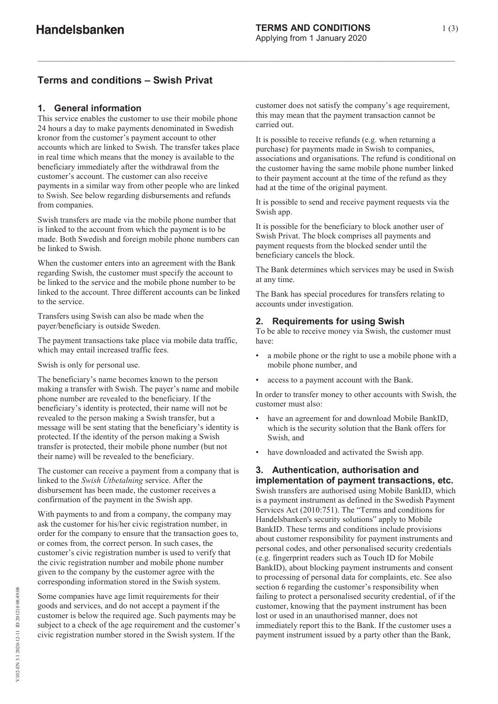## **Terms and conditions – Swish Privat**

## **1. General information**

This service enables the customer to use their mobile phone 24 hours a day to make payments denominated in Swedish kronor from the customer's payment account to other accounts which are linked to Swish. The transfer takes place in real time which means that the money is available to the beneficiary immediately after the withdrawal from the customer's account. The customer can also receive payments in a similar way from other people who are linked to Swish. See below regarding disbursements and refunds from companies.

Swish transfers are made via the mobile phone number that is linked to the account from which the payment is to be made. Both Swedish and foreign mobile phone numbers can be linked to Swish.

When the customer enters into an agreement with the Bank regarding Swish, the customer must specify the account to be linked to the service and the mobile phone number to be linked to the account. Three different accounts can be linked to the service.

Transfers using Swish can also be made when the payer/beneficiary is outside Sweden.

The payment transactions take place via mobile data traffic, which may entail increased traffic fees.

Swish is only for personal use.

The beneficiary's name becomes known to the person making a transfer with Swish. The payer's name and mobile phone number are revealed to the beneficiary. If the beneficiary's identity is protected, their name will not be revealed to the person making a Swish transfer, but a message will be sent stating that the beneficiary's identity is protected. If the identity of the person making a Swish transfer is protected, their mobile phone number (but not their name) will be revealed to the beneficiary.

The customer can receive a payment from a company that is linked to the *Swish Utbetalning* service. After the disbursement has been made, the customer receives a confirmation of the payment in the Swish app.

With payments to and from a company, the company may ask the customer for his/her civic registration number, in order for the company to ensure that the transaction goes to, or comes from, the correct person. In such cases, the customer's civic registration number is used to verify that the civic registration number and mobile phone number given to the company by the customer agree with the corresponding information stored in the Swish system.

Some companies have age limit requirements for their goods and services, and do not accept a payment if the customer is below the required age. Such payments may be subject to a check of the age requirement and the customer's civic registration number stored in the Swish system. If the

customer does not satisfy the company's age requirement, this may mean that the payment transaction cannot be carried out.

It is possible to receive refunds (e.g. when returning a purchase) for payments made in Swish to companies, associations and organisations. The refund is conditional on the customer having the same mobile phone number linked to their payment account at the time of the refund as they had at the time of the original payment.

It is possible to send and receive payment requests via the Swish app.

It is possible for the beneficiary to block another user of Swish Privat. The block comprises all payments and payment requests from the blocked sender until the beneficiary cancels the block.

The Bank determines which services may be used in Swish at any time.

The Bank has special procedures for transfers relating to accounts under investigation.

## **2. Requirements for using Swish**

To be able to receive money via Swish, the customer must have:

- a mobile phone or the right to use a mobile phone with a mobile phone number, and
- access to a payment account with the Bank.

In order to transfer money to other accounts with Swish, the customer must also:

- have an agreement for and download Mobile BankID, which is the security solution that the Bank offers for Swish, and
- have downloaded and activated the Swish app.

# **3. Authentication, authorisation and**

**implementation of payment transactions, etc.**  Swish transfers are authorised using Mobile BankID, which is a payment instrument as defined in the Swedish Payment Services Act (2010:751). The "Terms and conditions for Handelsbanken's security solutions" apply to Mobile BankID. These terms and conditions include provisions about customer responsibility for payment instruments and personal codes, and other personalised security credentials (e.g. fingerprint readers such as Touch ID for Mobile BankID), about blocking payment instruments and consent to processing of personal data for complaints, etc. See also section 6 regarding the customer's responsibility when failing to protect a personalised security credential, of if the customer, knowing that the payment instrument has been lost or used in an unauthorised manner, does not immediately report this to the Bank. If the customer uses a payment instrument issued by a party other than the Bank,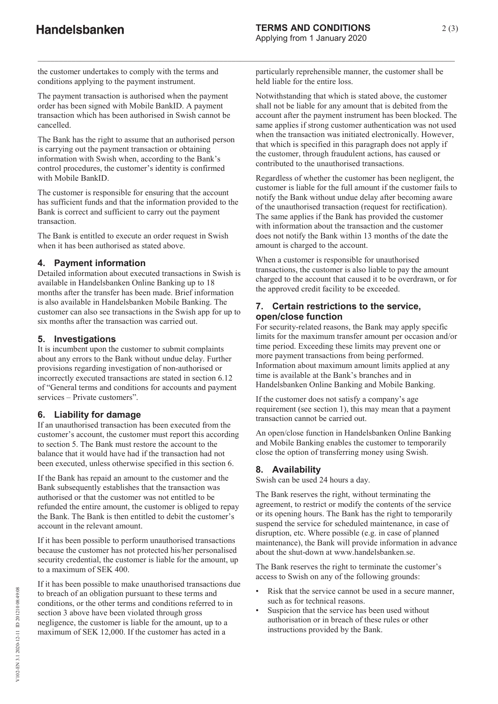the customer undertakes to comply with the terms and conditions applying to the payment instrument.

The payment transaction is authorised when the payment order has been signed with Mobile BankID. A payment transaction which has been authorised in Swish cannot be cancelled.

The Bank has the right to assume that an authorised person is carrying out the payment transaction or obtaining information with Swish when, according to the Bank's control procedures, the customer's identity is confirmed with Mobile BankID.

The customer is responsible for ensuring that the account has sufficient funds and that the information provided to the Bank is correct and sufficient to carry out the payment transaction.

The Bank is entitled to execute an order request in Swish when it has been authorised as stated above.

#### **4. Payment information**

Detailed information about executed transactions in Swish is available in Handelsbanken Online Banking up to 18 months after the transfer has been made. Brief information is also available in Handelsbanken Mobile Banking. The customer can also see transactions in the Swish app for up to six months after the transaction was carried out.

#### **5. Investigations**

It is incumbent upon the customer to submit complaints about any errors to the Bank without undue delay. Further provisions regarding investigation of non-authorised or incorrectly executed transactions are stated in section 6.12 of "General terms and conditions for accounts and payment services – Private customers".

#### **6. Liability for damage**

If an unauthorised transaction has been executed from the customer's account, the customer must report this according to section 5. The Bank must restore the account to the balance that it would have had if the transaction had not been executed, unless otherwise specified in this section 6.

If the Bank has repaid an amount to the customer and the Bank subsequently establishes that the transaction was authorised or that the customer was not entitled to be refunded the entire amount, the customer is obliged to repay the Bank. The Bank is then entitled to debit the customer's account in the relevant amount.

If it has been possible to perform unauthorised transactions because the customer has not protected his/her personalised security credential, the customer is liable for the amount, up to a maximum of SEK 400.

If it has been possible to make unauthorised transactions due to breach of an obligation pursuant to these terms and conditions, or the other terms and conditions referred to in section 3 above have been violated through gross negligence, the customer is liable for the amount, up to a maximum of SEK 12,000. If the customer has acted in a

particularly reprehensible manner, the customer shall be held liable for the entire loss.

Notwithstanding that which is stated above, the customer shall not be liable for any amount that is debited from the account after the payment instrument has been blocked. The same applies if strong customer authentication was not used when the transaction was initiated electronically. However, that which is specified in this paragraph does not apply if the customer, through fraudulent actions, has caused or contributed to the unauthorised transactions.

Regardless of whether the customer has been negligent, the customer is liable for the full amount if the customer fails to notify the Bank without undue delay after becoming aware of the unauthorised transaction (request for rectification). The same applies if the Bank has provided the customer with information about the transaction and the customer does not notify the Bank within 13 months of the date the amount is charged to the account.

When a customer is responsible for unauthorised transactions, the customer is also liable to pay the amount charged to the account that caused it to be overdrawn, or for the approved credit facility to be exceeded.

#### **7. Certain restrictions to the service, open/close function**

For security-related reasons, the Bank may apply specific limits for the maximum transfer amount per occasion and/or time period. Exceeding these limits may prevent one or more payment transactions from being performed. Information about maximum amount limits applied at any time is available at the Bank's branches and in Handelsbanken Online Banking and Mobile Banking.

If the customer does not satisfy a company's age requirement (see section 1), this may mean that a payment transaction cannot be carried out.

An open/close function in Handelsbanken Online Banking and Mobile Banking enables the customer to temporarily close the option of transferring money using Swish.

#### **8. Availability**

Swish can be used 24 hours a day.

The Bank reserves the right, without terminating the agreement, to restrict or modify the contents of the service or its opening hours. The Bank has the right to temporarily suspend the service for scheduled maintenance, in case of disruption, etc. Where possible (e.g. in case of planned maintenance), the Bank will provide information in advance about the shut-down at www.handelsbanken.se.

The Bank reserves the right to terminate the customer's access to Swish on any of the following grounds:

- Risk that the service cannot be used in a secure manner. such as for technical reasons.
- Suspicion that the service has been used without authorisation or in breach of these rules or other instructions provided by the Bank.